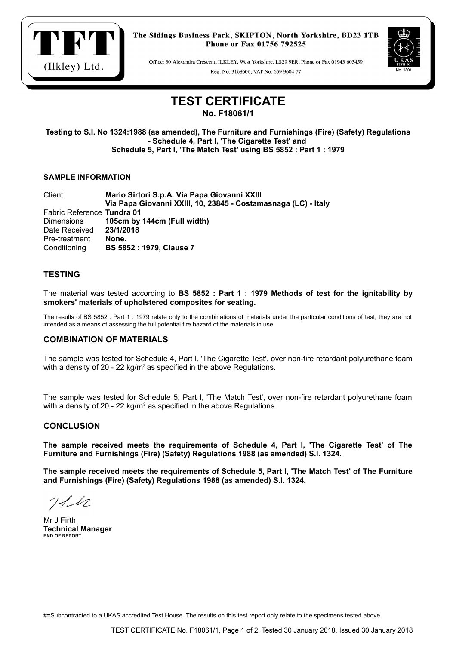

The Sidings Business Park, SKIPTON, North Yorkshire, BD23 1TB Phone or Fax 01756 792525

Office: 30 Alexandra Crescent, ILKLEY, West Yorkshire, LS29 9ER, Phone or Fax 01943 603459 Reg. No. 3168606, VAT No. 659 9604 77



# **TEST CERTIFICATE**

**No. F18061/1**

**Testing to S.I. No 1324:1988 (as amended), The Furniture and Furnishings (Fire) (Safety) Regulations - Schedule 4, Part I, 'The Cigarette Test' and Schedule 5, Part I, 'The Match Test' using BS 5852 : Part 1 : 1979**

## **SAMPLE INFORMATION**

Client **Mario Sirtori S.p.A. Via Papa Giovanni XXIII Via Papa Giovanni XXIII, 10, 23845 - Costamasnaga (LC) - Italy** Fabric Reference **Tundra 01** Dimensions **105cm by 144cm (Full width)** Date Received **23/1/2018** Pre-treatment **None.** Conditioning **BS 5852 : 1979, Clause 7**

# **TESTING**

The material was tested according to **BS 5852 : Part 1 : 1979 Methods of test for the ignitability by smokers' materials of upholstered composites for seating.**

The results of BS 5852 : Part 1 : 1979 relate only to the combinations of materials under the particular conditions of test, they are not intended as a means of assessing the full potential fire hazard of the materials in use.

## **COMBINATION OF MATERIALS**

The sample was tested for Schedule 4, Part I, 'The Cigarette Test', over non-fire retardant polyurethane foam with a density of 20 - 22 kg/m<sup>3</sup> as specified in the above Regulations.

The sample was tested for Schedule 5, Part I, 'The Match Test', over non-fire retardant polyurethane foam with a density of 20 - 22 kg/m $3$  as specified in the above Regulations.

## **CONCLUSION**

**The sample received meets the requirements of Schedule 4, Part I, 'The Cigarette Test' of The Furniture and Furnishings (Fire) (Safety) Regulations 1988 (as amended) S.I. 1324.**

**The sample received meets the requirements of Schedule 5, Part I, 'The Match Test' of The Furniture and Furnishings (Fire) (Safety) Regulations 1988 (as amended) S.I. 1324.**

 $711$ 

Mr J Firth **Technical Manager END OF REPORT**

#=Subcontracted to a UKAS accredited Test House. The results on this test report only relate to the specimens tested above.